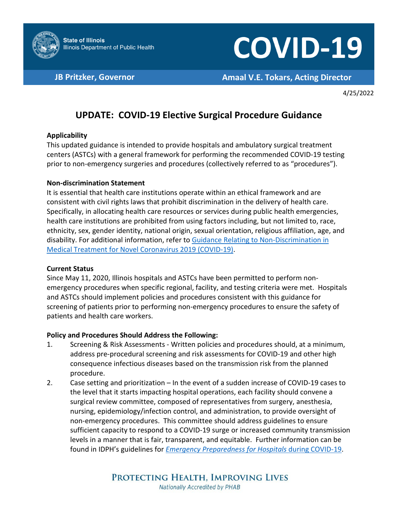

# **COVID-19**

**JB Pritzker, Governor <b>Amaal V.E. Tokars, Acting Director** 

4/25/2022

## **UPDATE: COVID-19 Elective Surgical Procedure Guidance**

### **Applicability**

This updated guidance is intended to provide hospitals and ambulatory surgical treatment centers (ASTCs) with a general framework for performing the recommended COVID-19 testing prior to non-emergency surgeries and procedures (collectively referred to as "procedures").

#### **Non-discrimination Statement**

It is essential that health care institutions operate within an ethical framework and are consistent with civil rights laws that prohibit discrimination in the delivery of health care. Specifically, in allocating health care resources or services during public health emergencies, health care institutions are prohibited from using factors including, but not limited to, race, ethnicity, sex, gender identity, national origin, sexual orientation, religious affiliation, age, and disability. For additional information, refer to [Guidance Relating to Non-Discrimination in](https://dph.illinois.gov/covid19/community-guidance/guidance-affirming-non-discrimination-medical-treatment.html)  [Medical Treatment for Novel Coronavirus 2019 \(COVID-19\).](https://dph.illinois.gov/covid19/community-guidance/guidance-affirming-non-discrimination-medical-treatment.html)

#### **Current Status**

Since May 11, 2020, Illinois hospitals and ASTCs have been permitted to perform nonemergency procedures when specific regional, facility, and testing criteria were met. Hospitals and ASTCs should implement policies and procedures consistent with this guidance for screening of patients prior to performing non-emergency procedures to ensure the safety of patients and health care workers.

### **Policy and Procedures Should Address the Following:**

- 1. Screening & Risk Assessments Written policies and procedures should, at a minimum, address pre-procedural screening and risk assessments for COVID-19 and other high consequence infectious diseases based on the transmission risk from the planned procedure.
- 2. Case setting and prioritization In the event of a sudden increase of COVID-19 cases to the level that it starts impacting hospital operations, each facility should convene a surgical review committee, composed of representatives from surgery, anesthesia, nursing, epidemiology/infection control, and administration, to provide oversight of non-emergency procedures. This committee should address guidelines to ensure sufficient capacity to respond to a COVID-19 surge or increased community transmission levels in a manner that is fair, transparent, and equitable. Further information can be found in IDPH's guidelines for *[Emergency Preparedness for Hospitals](https://dph.illinois.gov/covid19/healthcare-providers/emergency-preparedness-guidelines.html)* during COVID-19.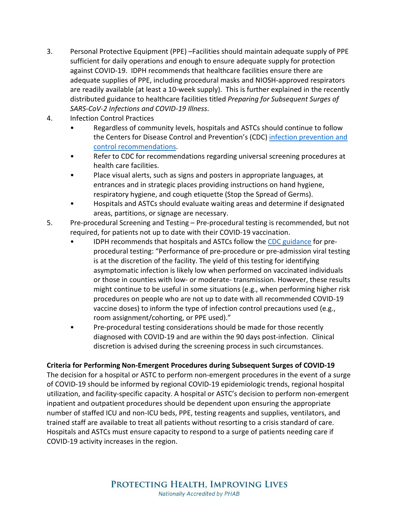- 3. Personal Protective Equipment (PPE) –Facilities should maintain adequate supply of PPE sufficient for daily operations and enough to ensure adequate supply for protection against COVID-19. IDPH recommends that healthcare facilities ensure there are adequate supplies of PPE, including procedural masks and NIOSH-approved respirators are readily available (at least a 10-week supply). This is further explained in the recently distributed guidance to healthcare facilities titled *Preparing for Subsequent Surges of SARS-CoV-2 Infections and COVID-19 Illness*.
- 4. Infection Control Practices
	- Regardless of community levels, hospitals and ASTCs should continue to follow the Centers for Disease Control and Prevention's (CDC) [infection prevention and](https://www.cdc.gov/coronavirus/2019-ncov/hcp/infection-control-recommendations.html) [control recommendations.](https://www.cdc.gov/coronavirus/2019-ncov/hcp/infection-control-recommendations.html)
	- Refer to CDC for recommendations regarding universal screening procedures at health care facilities.
	- Place visual alerts, such as signs and posters in appropriate languages, at entrances and in strategic places providing instructions on hand hygiene, respiratory hygiene, and cough etiquette (Stop the Spread of Germs).
	- Hospitals and ASTCs should evaluate waiting areas and determine if designated areas, partitions, or signage are necessary.
- 5. Pre-procedural Screening and Testing Pre-procedural testing is recommended, but not required, for patients not up to date with their COVID-19 vaccination.
	- IDPH recommends that hospitals and ASTCs follow the [CDC guidance](https://www.cdc.gov/coronavirus/2019-ncov/hcp/infection-control-recommendations.html) for preprocedural testing: "Performance of pre-procedure or pre-admission viral testing is at the discretion of the facility. The yield of this testing for identifying asymptomatic infection is likely low when performed on vaccinated individuals or those in counties with low- or moderate- transmission. However, these results might continue to be useful in some situations (e.g., when performing higher risk procedures on people who are not up to date with all recommended COVID-19 vaccine doses) to inform the type of infection control precautions used (e.g., room assignment/cohorting, or PPE used)."
	- Pre-procedural testing considerations should be made for those recently diagnosed with COVID-19 and are within the 90 days post-infection. Clinical discretion is advised during the screening process in such circumstances.

### **Criteria for Performing Non-Emergent Procedures during Subsequent Surges of COVID-19**

The decision for a hospital or ASTC to perform non-emergent procedures in the event of a surge of COVID-19 should be informed by regional COVID-19 epidemiologic trends, regional hospital utilization, and facility-specific capacity. A hospital or ASTC's decision to perform non-emergent inpatient and outpatient procedures should be dependent upon ensuring the appropriate number of staffed ICU and non-ICU beds, PPE, testing reagents and supplies, ventilators, and trained staff are available to treat all patients without resorting to a crisis standard of care. Hospitals and ASTCs must ensure capacity to respond to a surge of patients needing care if COVID-19 activity increases in the region.